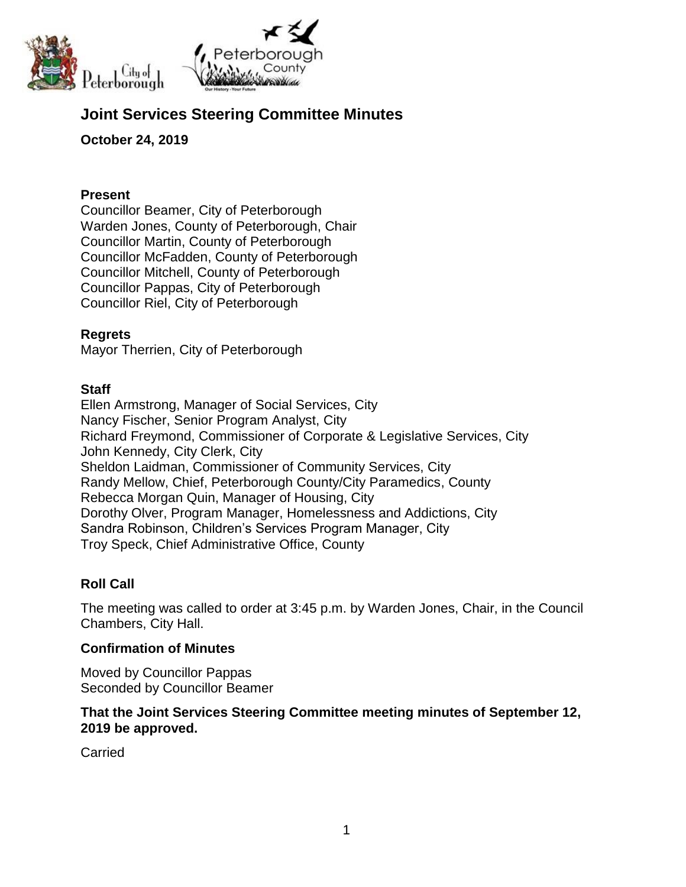

# **Joint Services Steering Committee Minutes**

# **October 24, 2019**

### **Present**

Councillor Beamer, City of Peterborough Warden Jones, County of Peterborough, Chair Councillor Martin, County of Peterborough Councillor McFadden, County of Peterborough Councillor Mitchell, County of Peterborough Councillor Pappas, City of Peterborough Councillor Riel, City of Peterborough

## **Regrets**

Mayor Therrien, City of Peterborough

## **Staff**

Ellen Armstrong, Manager of Social Services, City Nancy Fischer, Senior Program Analyst, City Richard Freymond, Commissioner of Corporate & Legislative Services, City John Kennedy, City Clerk, City Sheldon Laidman, Commissioner of Community Services, City Randy Mellow, Chief, Peterborough County/City Paramedics, County Rebecca Morgan Quin, Manager of Housing, City Dorothy Olver, Program Manager, Homelessness and Addictions, City Sandra Robinson, Children's Services Program Manager, City Troy Speck, Chief Administrative Office, County

# **Roll Call**

The meeting was called to order at 3:45 p.m. by Warden Jones, Chair, in the Council Chambers, City Hall.

### **Confirmation of Minutes**

Moved by Councillor Pappas Seconded by Councillor Beamer

### **That the Joint Services Steering Committee meeting minutes of September 12, 2019 be approved.**

**Carried**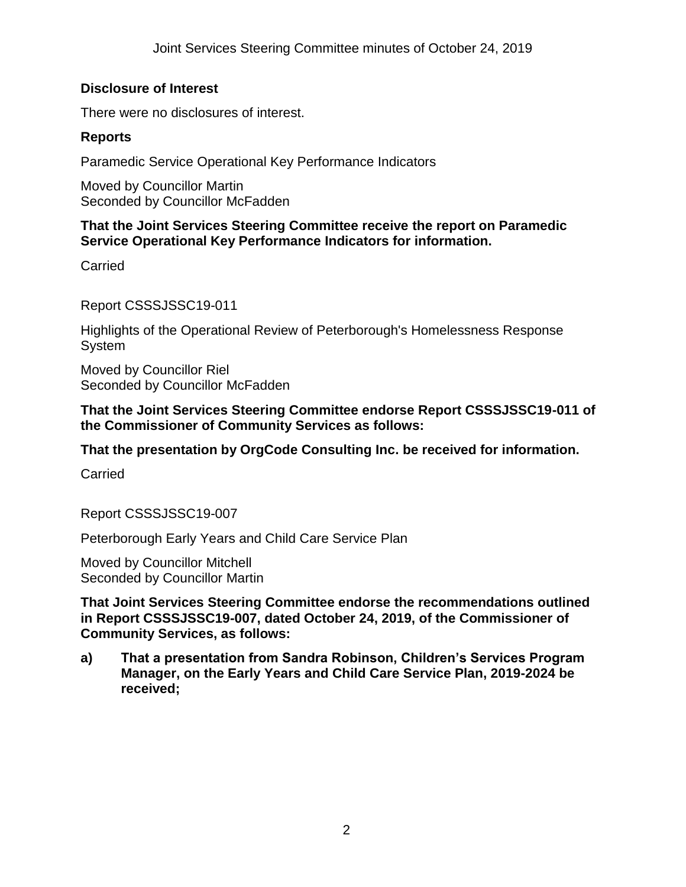## **Disclosure of Interest**

There were no disclosures of interest.

## **Reports**

Paramedic Service Operational Key Performance Indicators

Moved by Councillor Martin Seconded by Councillor McFadden

## **That the Joint Services Steering Committee receive the report on Paramedic Service Operational Key Performance Indicators for information.**

Carried

Report CSSSJSSC19-011

Highlights of the Operational Review of Peterborough's Homelessness Response **System** 

Moved by Councillor Riel Seconded by Councillor McFadden

### **That the Joint Services Steering Committee endorse Report CSSSJSSC19-011 of the Commissioner of Community Services as follows:**

**That the presentation by OrgCode Consulting Inc. be received for information.**

**Carried** 

Report CSSSJSSC19-007

Peterborough Early Years and Child Care Service Plan

Moved by Councillor Mitchell Seconded by Councillor Martin

**That Joint Services Steering Committee endorse the recommendations outlined in Report CSSSJSSC19-007, dated October 24, 2019, of the Commissioner of Community Services, as follows:**

**a) That a presentation from Sandra Robinson, Children's Services Program Manager, on the Early Years and Child Care Service Plan, 2019-2024 be received;**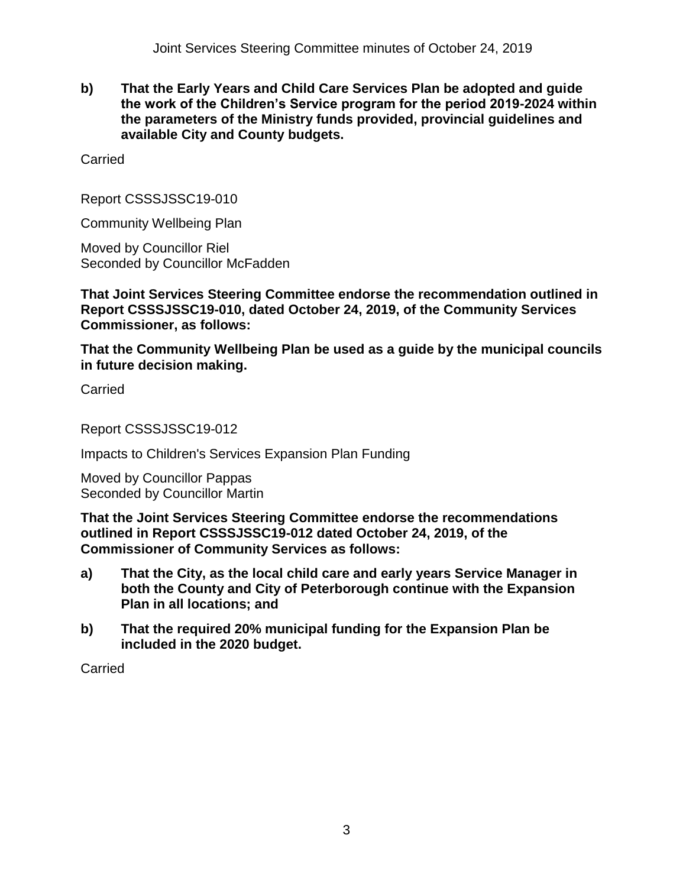**b) That the Early Years and Child Care Services Plan be adopted and guide the work of the Children's Service program for the period 2019-2024 within the parameters of the Ministry funds provided, provincial guidelines and available City and County budgets.**

Carried

Report CSSSJSSC19-010

Community Wellbeing Plan

Moved by Councillor Riel Seconded by Councillor McFadden

**That Joint Services Steering Committee endorse the recommendation outlined in Report CSSSJSSC19-010, dated October 24, 2019, of the Community Services Commissioner, as follows:**

**That the Community Wellbeing Plan be used as a guide by the municipal councils in future decision making.**

Carried

Report CSSSJSSC19-012

Impacts to Children's Services Expansion Plan Funding

Moved by Councillor Pappas Seconded by Councillor Martin

**That the Joint Services Steering Committee endorse the recommendations outlined in Report CSSSJSSC19-012 dated October 24, 2019, of the Commissioner of Community Services as follows:**

- **a) That the City, as the local child care and early years Service Manager in both the County and City of Peterborough continue with the Expansion Plan in all locations; and**
- **b) That the required 20% municipal funding for the Expansion Plan be included in the 2020 budget.**

**Carried**